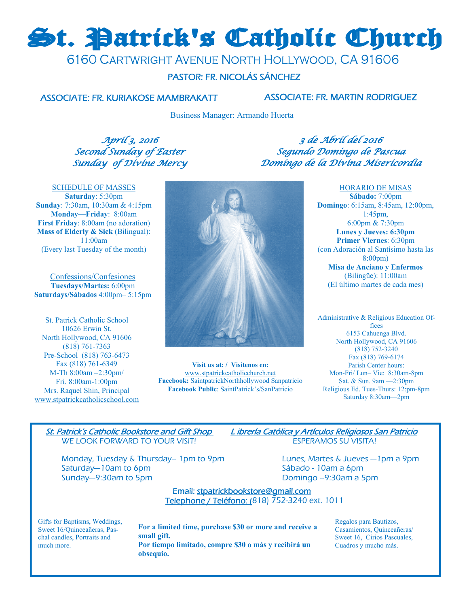# St. Patrick's Catholic Church

6160 CARTWRIGHT AVENUE NORTH HOLLYWOOD, CA 91606

# PASTOR: FR. NICOLÁS SÁNCHEZ

# ASSOCIATE: FR. KURIAKOSE MAMBRAKATT ASSOCIATE: FR. MARTIN RODRIGUEZ

Business Manager: Armando Huerta

April 3, 2016 Second Sunday of Easter Sunday of Divine Mercy

3 de Abril del 2016 Segundo Domingo de Pascua Domingo de la Divina Misericordia

SCHEDULE OF MASSES **Saturday**: 5:30pm **Sunday**: 7:30am, 10:30am & 4:15pm **Monday—Friday**: 8:00am **First Friday**: 8:00am (no adoration) **Mass of Elderly & Sick (Bilingual):** 11:00am (Every last Tuesday of the month)

Confessions/Confesiones **Tuesdays/Martes:** 6:00pm **Saturdays/Sábados** 4:00pm– 5:15pm

St. Patrick Catholic School 10626 Erwin St. North Hollywood, CA 91606 (818) 761-7363 Pre-School (818) 763-6473 Fax (818) 761-6349 M-Th 8:00am –2:30pm/ Fri. 8:00am-1:00pm Mrs. Raquel Shin, Principal www.stpatrickcatholicschool.com



**Visit us at: / Visitenos en:**  www.stpatrickcatholicchurch.net **Facebook:** SaintpatrickNorthhollywood Sanpatricio **Facebook Public**: SaintPatrick's/SanPatricio

HORARIO DE MISAS **Sábado:** 7:00pm **Domingo**: 6:15am, 8:45am, 12:00pm, 1:45pm, 6:00pm & 7:30pm **Lunes y Jueves: 6:30pm Primer Viernes**: 6:30pm (con Adoración al Santísimo hasta las 8:00pm) **Misa de Anciano y Enfermos**  (Bilingüe): 11:00am (El último martes de cada mes)

Administrative & Religious Education Offices 6153 Cahuenga Blvd. North Hollywood, CA 91606 (818) 752-3240 Fax (818) 769-6174 Parish Center hours: Mon-Fri/ Lun– Vie: 8:30am-8pm Sat. & Sun. 9am —2:30pm Religious Ed. Tues-Thurs: 12:pm-8pm Saturday 8:30am—2pm

WE LOOK FORWARD TO YOUR VISIT! ESPERAMOS SU VISITA!

Monday, Tuesday & Thursday– 1pm to 9pm Lunes, Martes & Jueves -1pm a 9pm Saturday—10am to 6pm saturday—10am to 6pm Sunday—9:30am to 5pm diagnosis of the Domingo –9:30am a 5pm

St. Patrick's Catholic Bookstore and Gift Shop L ibrería Católica y Artículos Religiosos San Patricio

# Email: stpatrickbookstore@gmail.com Telephone / Teléfono: (818) 752-3240 ext. 1011

Gifts for Baptisms, Weddings, Sweet 16/Quinceañeras, Paschal candles, Portraits and much more.

**For a limited time, purchase \$30 or more and receive a small gift. Por tiempo limitado, compre \$30 o más y recibirá un obsequio.** 

Regalos para Bautizos, Casamientos, Quinceañeras/ Sweet 16, Cirios Pascuales, Cuadros y mucho más.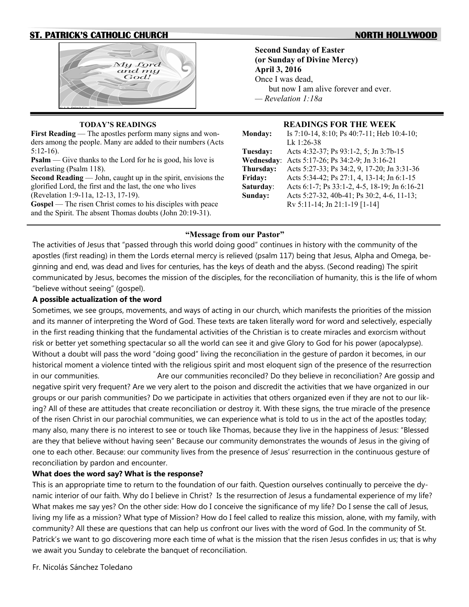# **ST. PATRICK'S CATHOLIC CHURCH NORTH HOLLYWOOD**





### **TODAY'S READINGS**

**First Reading** — The apostles perform many signs and wonders among the people. Many are added to their numbers (Acts 5:12-16).

**Psalm** — Give thanks to the Lord for he is good, his love is everlasting (Psalm 118).

**Second Reading** — John, caught up in the spirit, envisions the glorified Lord, the first and the last, the one who lives (Revelation 1:9-11a, 12-13, 17-19).

**Gospel** — The risen Christ comes to his disciples with peace and the Spirit. The absent Thomas doubts (John 20:19-31).

**Second Sunday of Easter (or Sunday of Divine Mercy) April 3, 2016** Once I was dead, but now I am alive forever and ever. *— Revelation 1:18a* 

#### **READINGS FOR THE WEEK**

| <b>Monday:</b> | Is 7:10-14, 8:10; Ps 40:7-11; Heb 10:4-10;    |
|----------------|-----------------------------------------------|
|                | Lk 1:26-38                                    |
| Tuesday:       | Acts 4:32-37; Ps 93:1-2, 5; Jn 3:7b-15        |
| Wednesday:     | Acts 5:17-26; Ps 34:2-9; Jn 3:16-21           |
| Thursday:      | Acts 5:27-33; Ps 34:2, 9, 17-20; Jn 3:31-36   |
| Friday:        | Acts 5:34-42; Ps 27:1, 4, 13-14; Jn 6:1-15    |
| Saturday:      | Acts 6:1-7; Ps 33:1-2, 4-5, 18-19; Jn 6:16-21 |
| Sunday:        | Acts 5:27-32, 40b-41; Ps 30:2, 4-6, 11-13;    |
|                | Rv 5:11-14; Jn 21:1-19 [1-14]                 |

### **"Message from our Pastor"**

The activities of Jesus that "passed through this world doing good" continues in history with the community of the apostles (first reading) in them the Lords eternal mercy is relieved (psalm 117) being that Jesus, Alpha and Omega, beginning and end, was dead and lives for centuries, has the keys of death and the abyss. (Second reading) The spirit communicated by Jesus, becomes the mission of the disciples, for the reconciliation of humanity, this is the life of whom "believe without seeing" (gospel).

### **A possible actualization of the word**

Sometimes, we see groups, movements, and ways of acting in our church, which manifests the priorities of the mission and its manner of interpreting the Word of God. These texts are taken literally word for word and selectively, especially in the first reading thinking that the fundamental activities of the Christian is to create miracles and exorcism without risk or better yet something spectacular so all the world can see it and give Glory to God for his power (apocalypse). Without a doubt will pass the word "doing good" living the reconciliation in the gesture of pardon it becomes, in our historical moment a violence tinted with the religious spirit and most eloquent sign of the presence of the resurrection in our communities. Are our communities reconciled? Do they believe in reconciliation? Are gossip and negative spirit very frequent? Are we very alert to the poison and discredit the activities that we have organized in our groups or our parish communities? Do we participate in activities that others organized even if they are not to our liking? All of these are attitudes that create reconciliation or destroy it. With these signs, the true miracle of the presence of the risen Christ in our parochial communities, we can experience what is told to us in the act of the apostles today; many also, many there is no interest to see or touch like Thomas, because they live in the happiness of Jesus: "Blessed are they that believe without having seen" Because our community demonstrates the wounds of Jesus in the giving of one to each other. Because: our community lives from the presence of Jesus' resurrection in the continuous gesture of reconciliation by pardon and encounter.

## **What does the word say? What is the response?**

This is an appropriate time to return to the foundation of our faith. Question ourselves continually to perceive the dynamic interior of our faith. Why do I believe in Christ? Is the resurrection of Jesus a fundamental experience of my life? What makes me say yes? On the other side: How do I conceive the significance of my life? Do I sense the call of Jesus, living my life as a mission? What type of Mission? How do I feel called to realize this mission, alone, with my family, with community? All these are questions that can help us confront our lives with the word of God. In the community of St. Patrick's we want to go discovering more each time of what is the mission that the risen Jesus confides in us; that is why we await you Sunday to celebrate the banquet of reconciliation.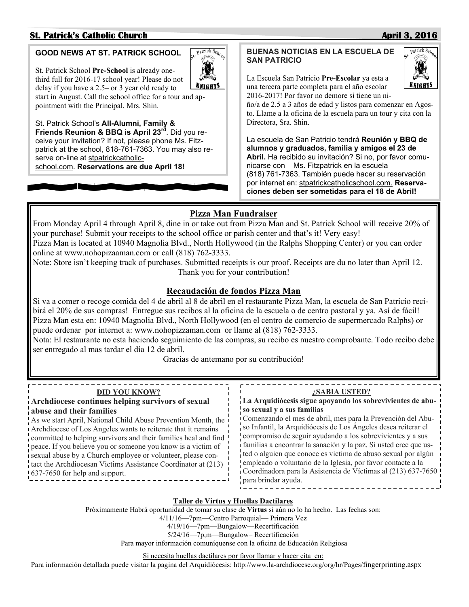# **St. Patrick's Catholic Church April 3, 2016**

# **GOOD NEWS AT ST. PATRICK SCHOOL**

St. Patrick School **Pre-School** is already onethird full for 2016-17 school year! Please do not delay if you have a 2.5– or 3 year old ready to start in August. Call the school office for a tour and appointment with the Principal, Mrs. Shin.

St. Patrick School's **All-Alumni, Family & Friends Reunion & BBQ is April 23rd**. Did you receive your invitation? If not, please phone Ms. Fitzpatrick at the school, 818-761-7363. You may also reserve on-line at stpatrickcatholicschool.com. **Reservations are due April 18!**

# **BUENAS NOTICIAS EN LA ESCUELA DE SAN PATRICIO**

La Escuela San Patricio **Pre-Escolar** ya esta a una tercera parte completa para el año escolar 2016-2017! Por favor no demore si tiene un ni-

ño/a de 2.5 a 3 años de edad y listos para comenzar en Agosto. Llame a la oficina de la escuela para un tour y cita con la Directora, Sra. Shin.

La escuela de San Patricio tendrá **Reunión y BBQ de alumnos y graduados, familia y amigos el 23 de Abril.** Ha recibido su invitación? Si no, por favor comunicarse con Ms. Fitzpatrick en la escuela (818) 761-7363. También puede hacer su reservación por internet en: stpatrickcatholicschool.com. **Reservaciones deben ser sometidas para el 18 de Abril!** 

# **Pizza Man Fundraiser**

From Monday April 4 through April 8, dine in or take out from Pizza Man and St. Patrick School will receive 20% of your purchase! Submit your receipts to the school office or parish center and that's it! Very easy! Pizza Man is located at 10940 Magnolia Blvd., North Hollywood (in the Ralphs Shopping Center) or you can order online at www.nohopizaaman.com or call (818) 762-3333.

Note: Store isn't keeping track of purchases. Submitted receipts is our proof. Receipts are du no later than April 12. Thank you for your contribution!

# **Recaudación de fondos Pizza Man**

Si va a comer o recoge comida del 4 de abril al 8 de abril en el restaurante Pizza Man, la escuela de San Patricio recibirá el 20% de sus compras! Entregue sus recibos al la oficina de la escuela o de centro pastoral y ya. Así de fácil! Pizza Man esta en: 10940 Magnolia Blvd., North Hollywood (en el centro de comercio de supermercado Ralphs) or puede ordenar por internet a: www.nohopizzaman.com or llame al (818) 762-3333.

Nota: El restaurante no esta haciendo seguimiento de las compras, su recibo es nuestro comprobante. Todo recibo debe ser entregado al mas tardar el día 12 de abril.

Gracias de antemano por su contribución!

| <b>DID YOU KNOW?</b><br>:SABIA USTED?                                                                                                                                                                                                                                                                                                                                                                                                                                                                                                                                                                                                                                                                                                                                                                                                                                                                                                                                  |  |
|------------------------------------------------------------------------------------------------------------------------------------------------------------------------------------------------------------------------------------------------------------------------------------------------------------------------------------------------------------------------------------------------------------------------------------------------------------------------------------------------------------------------------------------------------------------------------------------------------------------------------------------------------------------------------------------------------------------------------------------------------------------------------------------------------------------------------------------------------------------------------------------------------------------------------------------------------------------------|--|
|                                                                                                                                                                                                                                                                                                                                                                                                                                                                                                                                                                                                                                                                                                                                                                                                                                                                                                                                                                        |  |
| La Arquidiócesis sigue apoyando los sobrevivientes de abu-<br>Archdiocese continues helping survivors of sexual                                                                                                                                                                                                                                                                                                                                                                                                                                                                                                                                                                                                                                                                                                                                                                                                                                                        |  |
| so sexual y a sus familias<br>abuse and their families<br>Comenzando el mes de abril, mes para la Prevención del Abu-<br>As we start April, National Child Abuse Prevention Month, the<br>so Infantil, la Arquidiócesis de Los Ángeles desea reiterar el<br>Archdiocese of Los Angeles wants to reiterate that it remains<br>compromiso de seguir ayudando a los sobrevivientes y a sus<br>committed to helping survivors and their families heal and find !<br>i familias a encontrar la sanación y la paz. Si usted cree que us-<br>peace. If you believe you or someone you know is a victim of<br>ted o alguien que conoce es víctima de abuso sexual por algún<br>sexual abuse by a Church employee or volunteer, please con-<br>empleado o voluntario de la Iglesia, por favor contacte a la<br>tact the Archdiocesan Victims Assistance Coordinator at (213)<br>Coordinadora para la Asistencia de Víctimas al (213) 637-7650<br>637-7650 for help and support. |  |
| para brindar ayuda.                                                                                                                                                                                                                                                                                                                                                                                                                                                                                                                                                                                                                                                                                                                                                                                                                                                                                                                                                    |  |

## **Taller de Virtus y Huellas Dactilares**

Próximamente Habrá oportunidad de tomar su clase de **Virtus** si aún no lo ha hecho. Las fechas son:

4/11/16—7pm—Centro Parroquial— Primera Vez

4/19/16—7pm—Bungalow—Recertificación

5/24/16—7p,m—Bungalow– Recertificación

Para mayor información comuníquense con la oficina de Educación Religiosa

Si necesita huellas dactilares por favor llamar y hacer cita en:

Para información detallada puede visitar la pagina del Arquidiócesis: http://www.la-archdiocese.org/org/hr/Pages/fingerprinting.aspx

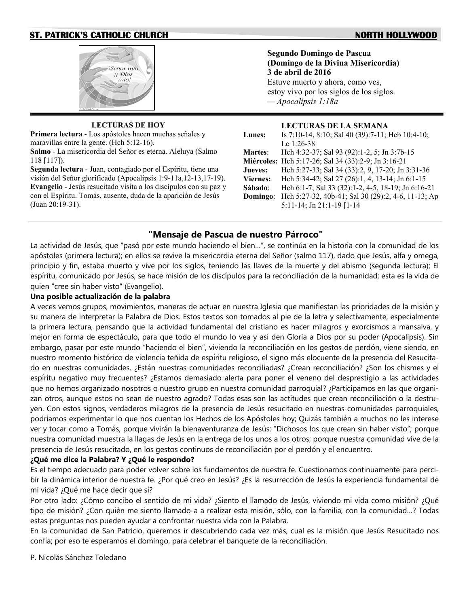# **ST. PATRICK'S CATHOLIC CHURCH NORTH HOLLYWOOD**

# Señor mío  $y$  Dios  $m$ ío!

**LECTURAS DE HOY Primera lectura** - Los apóstoles hacen muchas señales y maravillas entre la gente. (Hch 5:12-16). **Salmo** - La misericordia del Señor es eterna. Aleluya (Salmo 118 [117]).

**Segunda lectura** - Juan, contagiado por el Espíritu, tiene una visión del Señor glorificado (Apocalipsis 1:9-11a,12-13,17-19). **Evangelio** - Jesús resucitado visita a los discípulos con su paz y con el Espíritu. Tomás, ausente, duda de la aparición de Jesús (Juan 20:19-31).

# **Segundo Domingo de Pascua (Domingo de la Divina Misericordia)**

**3 de abril de 2016** Estuve muerto y ahora, como ves, estoy vivo por los siglos de los siglos. *— Apocalipsis 1:18a* 

#### **LECTURAS DE LA SEMANA**

| Is 7:10-14, 8:10; Sal 40 (39):7-11; Heb 10:4-10;    |
|-----------------------------------------------------|
| Lc $1:26-38$                                        |
| Hch 4:32-37; Sal 93 (92):1-2, 5; Jn 3:7b-15         |
| Miércoles: Hch 5:17-26; Sal 34 (33):2-9; Jn 3:16-21 |
| Hch 5:27-33; Sal 34 (33):2, 9, 17-20; Jn 3:31-36    |
| Hch 5:34-42; Sal 27 (26):1, 4, 13-14; Jn 6:1-15     |
| Hch 6:1-7; Sal 33 (32):1-2, 4-5, 18-19; Jn 6:16-21  |
| Hch 5:27-32, 40b-41; Sal 30 (29):2, 4-6, 11-13; Ap  |
| 5:11-14; Jn 21:1-19 [1-14]                          |
|                                                     |

# **"Mensaje de Pascua de nuestro Párroco"**

La actividad de Jesús, que "pasó por este mundo haciendo el bien…", se continúa en la historia con la comunidad de los apóstoles (primera lectura); en ellos se revive la misericordia eterna del Señor (salmo 117), dado que Jesús, alfa y omega, principio y fin, estaba muerto y vive por los siglos, teniendo las llaves de la muerte y del abismo (segunda lectura); El espíritu, comunicado por Jesús, se hace misión de los discípulos para la reconciliación de la humanidad; esta es la vida de quien "cree sin haber visto" (Evangelio).

# **Una posible actualización de la palabra**

A veces vemos grupos, movimientos, maneras de actuar en nuestra Iglesia que manifiestan las prioridades de la misión y su manera de interpretar la Palabra de Dios. Estos textos son tomados al pie de la letra y selectivamente, especialmente la primera lectura, pensando que la actividad fundamental del cristiano es hacer milagros y exorcismos a mansalva, y mejor en forma de espectáculo, para que todo el mundo lo vea y así den Gloria a Dios por su poder (Apocalipsis). Sin embargo, pasar por este mundo "haciendo el bien", viviendo la reconciliación en los gestos de perdón, viene siendo, en nuestro momento histórico de violencia teñida de espíritu religioso, el signo más elocuente de la presencia del Resucitado en nuestras comunidades. ¿Están nuestras comunidades reconciliadas? ¿Crean reconciliación? ¿Son los chismes y el espíritu negativo muy frecuentes? ¿Estamos demasiado alerta para poner el veneno del desprestigio a las actividades que no hemos organizado nosotros o nuestro grupo en nuestra comunidad parroquial? ¿Participamos en las que organizan otros, aunque estos no sean de nuestro agrado? Todas esas son las actitudes que crean reconciliación o la destruyen. Con estos signos, verdaderos milagros de la presencia de Jesús resucitado en nuestras comunidades parroquiales, podríamos experimentar lo que nos cuentan los Hechos de los Apóstoles hoy; Quizás también a muchos no les interese ver y tocar como a Tomás, porque vivirán la bienaventuranza de Jesús: "Dichosos los que crean sin haber visto"; porque nuestra comunidad muestra la llagas de Jesús en la entrega de los unos a los otros; porque nuestra comunidad vive de la presencia de Jesús resucitado, en los gestos continuos de reconciliación por el perdón y el encuentro.

# **¿Qué me dice la Palabra? Y ¿Qué le respondo?**

Es el tiempo adecuado para poder volver sobre los fundamentos de nuestra fe. Cuestionarnos continuamente para percibir la dinámica interior de nuestra fe. ¿Por qué creo en Jesús? ¿Es la resurrección de Jesús la experiencia fundamental de mi vida? ¿Qué me hace decir que sí?

Por otro lado: ¿Cómo concibo el sentido de mi vida? ¿Siento el llamado de Jesús, viviendo mi vida como misión? ¿Qué tipo de misión? ¿Con quién me siento llamado-a a realizar esta misión, sólo, con la familia, con la comunidad…? Todas estas preguntas nos pueden ayudar a confrontar nuestra vida con la Palabra.

En la comunidad de San Patricio, queremos ir descubriendo cada vez más, cual es la misión que Jesús Resucitado nos confía; por eso te esperamos el domingo, para celebrar el banquete de la reconciliación.

P. Nicolás Sánchez Toledano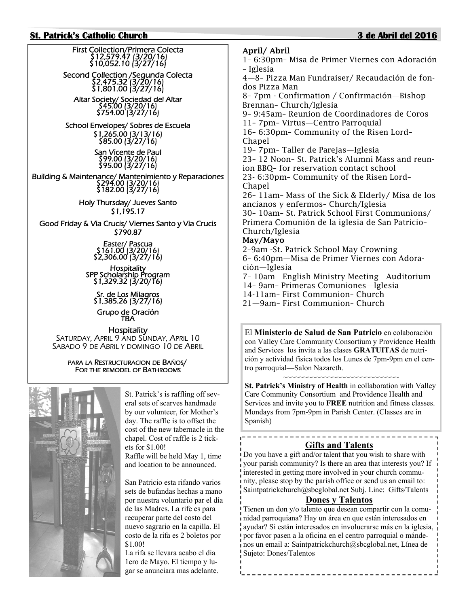## **St. Patrick's Catholic Church 3 de Abril del 2016**

First Collection/Primera Colecta \$12,579.47 (3/20/16) \$10,052.10 (3/27/16) Second Collection /Segunda Colecta \$2,475.32 (3/20/16) \$1,801.00 (3/27/16) Altar Society/ Sociedad del Altar \$754.00 (3/27/16) School Envelopes/ Sobres de Escuela \$1,265.00 (3/13/16) \$85.00 (3/27/16) San Vicente de Paul \$99.00 (3/20/16) \$95.00 (3/27/16) Building & Maintenance/ Mantenimiento y Reparaciones<br>\$294.00 (3/20/16) \$182.00 (3/27/16) Holy Thursday/ Jueves Santo \$1,195.17 Good Friday & Via Crucis/ Viernes Santo y Via Crucis \$790.87 Easter/ Pascua<br>| \$161.00 (3/20/16) \$2,306.00 (3/27/16) Hospitality<br>SPP Scholarship Program<br>\$1,329.32 (3/20/16)

Sr. de Los Milagros<br>\$1,385.26 (3/27/16)

Grupo de Oración<br>TBA

**Hospitality** SATURDAY, APRIL 9 AND SUNDAY, APRIL 10 SABADO 9 DE ABRIL Y DOMINGO 10 DE ABRIL

> PARA LA RESTRUCTURACION DE BAÑOS/ FOR THE REMODEL OF BATHROOMS



St. Patrick's is raffling off several sets of scarves handmade by our volunteer, for Mother's day. The raffle is to offset the cost of the new tabernacle in the chapel. Cost of raffle is 2 tickets for \$1.00! Raffle will be held May 1, time and location to be announced.

San Patricio esta rifando varios sets de bufandas hechas a mano por nuestra voluntario par el día de las Madres. La rife es para recuperar parte del costo del nuevo sagrario en la capilla. El costo de la rifa es 2 boletos por \$1.00!

La rifa se llevara acabo el dia 1ero de Mayo. El tiempo y lugar se anunciara mas adelante.

**April/ Abril**  1– 6:30pm– Misa de Primer Viernes con Adoración – Iglesia 4—8– Pizza Man Fundraiser/ Recaudación de fondos Pizza Man 8– 7pm - Confirmation / Confirmación—Bishop Brennan– Church/Iglesia 9– 9:45am– Reunion de Coordinadores de Coros 11– 7pm– Virtus—Centro Parroquial 16– 6:30pm– Community of the Risen Lord– Chapel 19– 7pm– Taller de Parejas—Iglesia 23– 12 Noon– St. Patrick's Alumni Mass and reunion BBQ– for reservation contact school 23- 6:30pm– Community of the Risen Lord– Chapel 26– 11am– Mass of the Sick & Elderly/ Misa de los ancianos y enfermos– Church/Iglesia 30– 10am– St. Patrick School First Communions/ Primera Comunión de la iglesia de San Patricio– Church/Iglesia **May/Mayo**  2–9am -St. Patrick School May Crowning 6– 6:40pm—Misa de Primer Viernes con Adoración—Iglesia

7– 10am—English Ministry Meeting—Auditorium 14– 9am– Primeras Comuniones—Iglesia 14-11am– First Communion– Church 21—9am– First Communion– Church

El **Ministerio de Salud de San Patricio** en colaboración con Valley Care Community Consortium y Providence Health and Services los invita a las clases **GRATUITAS** de nutrición y actividad física todos los Lunes de 7pm-9pm en el centro parroquial—Salon Nazareth.

~~~~~~~~~~~~~~~~~~~~~~~~~~~~~~ **St. Patrick's Ministry of Health** in collaboration with Valley Care Community Consortium and Providence Health and Services and invite you to **FREE** nutrition and fitness classes. Mondays from 7pm-9pm in Parish Center. (Classes are in Spanish)

#### \_\_\_\_\_\_\_\_\_\_\_\_\_\_\_\_\_\_\_\_\_\_\_\_\_\_\_\_\_\_\_\_ **Gifts and Talents**

Do you have a gift and/or talent that you wish to share with your parish community? Is there an area that interests you? If interested in getting more involved in your church community, please stop by the parish office or send us an email to: Saintpatrickchurch@sbcglobal.net Subj. Line: Gifts/Talents

# **Dones y Talentos**

Tienen un don y/o talento que desean compartir con la comunidad parroquiana? Hay un área en que están interesados en ayudar? Si están interesados en involucrarse más en la iglesia, por favor pasen a la oficina en el centro parroquial o mándenos un email a: Saintpatrickchurch@sbcglobal.net, Línea de Sujeto: Dones/Talentos